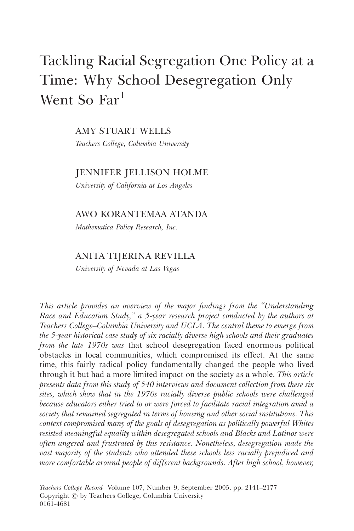# Tackling Racial Segregation One Policy at a Time: Why School Desegregation Only Went So Far<sup>1</sup>

AMY STUART WELLS

Teachers College, Columbia University

## JENNIFER JELLISON HOLME

University of California at Los Angeles

#### AWO KORANTEMAA ATANDA

Mathematica Policy Research, Inc.

## ANITA TIJERINA REVILLA

University of Nevada at Las Vegas

This article provides an overview of the major findings from the ''Understanding Race and Education Study,'' a 5-year research project conducted by the authors at Teachers College–Columbia University and UCLA. The central theme to emerge from the 5-year historical case study of six racially diverse high schools and their graduates from the late 1970s was that school desegregation faced enormous political obstacles in local communities, which compromised its effect. At the same time, this fairly radical policy fundamentally changed the people who lived through it but had a more limited impact on the society as a whole. This article presents data from this study of 540 interviews and document collection from these six sites, which show that in the 1970s racially diverse public schools were challenged because educators either tried to or were forced to facilitate racial integration amid a society that remained segregated in terms of housing and other social institutions. This context compromised many of the goals of desegregation as politically powerful Whites resisted meaningful equality within desegregated schools and Blacks and Latinos were often angered and frustrated by this resistance. Nonetheless, desegregation made the vast majority of the students who attended these schools less racially prejudiced and more comfortable around people of different backgrounds. After high school, however,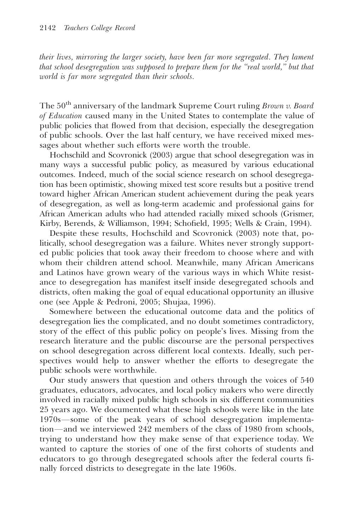their lives, mirroring the larger society, have been far more segregated. They lament that school desegregation was supposed to prepare them for the ''real world,'' but that world is far more segregated than their schools.

The  $50<sup>th</sup>$  anniversary of the landmark Supreme Court ruling Brown v. Board of Education caused many in the United States to contemplate the value of public policies that flowed from that decision, especially the desegregation of public schools. Over the last half century, we have received mixed messages about whether such efforts were worth the trouble.

Hochschild and Scovronick (2003) argue that school desegregation was in many ways a successful public policy, as measured by various educational outcomes. Indeed, much of the social science research on school desegregation has been optimistic, showing mixed test score results but a positive trend toward higher African American student achievement during the peak years of desegregation, as well as long-term academic and professional gains for African American adults who had attended racially mixed schools (Grismer, Kirby, Berends, & Williamson, 1994; Schofield, 1995; Wells & Crain, 1994).

Despite these results, Hochschild and Scovronick (2003) note that, politically, school desegregation was a failure. Whites never strongly supported public policies that took away their freedom to choose where and with whom their children attend school. Meanwhile, many African Americans and Latinos have grown weary of the various ways in which White resistance to desegregation has manifest itself inside desegregated schools and districts, often making the goal of equal educational opportunity an illusive one (see Apple & Pedroni, 2005; Shujaa, 1996).

Somewhere between the educational outcome data and the politics of desegregation lies the complicated, and no doubt sometimes contradictory, story of the effect of this public policy on people's lives. Missing from the research literature and the public discourse are the personal perspectives on school desegregation across different local contexts. Ideally, such perspectives would help to answer whether the efforts to desegregate the public schools were worthwhile.

Our study answers that question and others through the voices of 540 graduates, educators, advocates, and local policy makers who were directly involved in racially mixed public high schools in six different communities 25 years ago. We documented what these high schools were like in the late 1970s—some of the peak years of school desegregation implementation—and we interviewed 242 members of the class of 1980 from schools, trying to understand how they make sense of that experience today. We wanted to capture the stories of one of the first cohorts of students and educators to go through desegregated schools after the federal courts finally forced districts to desegregate in the late 1960s.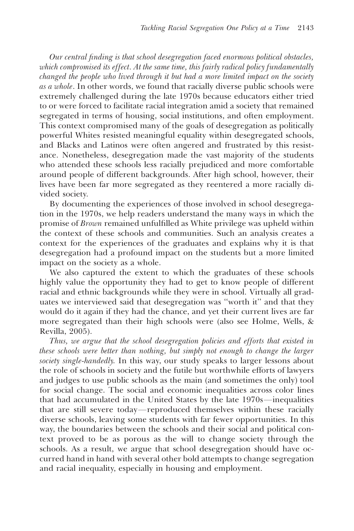Our central finding is that school desegregation faced enormous political obstacles, which compromised its effect. At the same time, this fairly radical policy fundamentally changed the people who lived through it but had a more limited impact on the society as a whole. In other words, we found that racially diverse public schools were extremely challenged during the late 1970s because educators either tried to or were forced to facilitate racial integration amid a society that remained segregated in terms of housing, social institutions, and often employment. This context compromised many of the goals of desegregation as politically powerful Whites resisted meaningful equality within desegregated schools, and Blacks and Latinos were often angered and frustrated by this resistance. Nonetheless, desegregation made the vast majority of the students who attended these schools less racially prejudiced and more comfortable around people of different backgrounds. After high school, however, their lives have been far more segregated as they reentered a more racially divided society.

By documenting the experiences of those involved in school desegregation in the 1970s, we help readers understand the many ways in which the promise of Brown remained unfulfilled as White privilege was upheld within the context of these schools and communities. Such an analysis creates a context for the experiences of the graduates and explains why it is that desegregation had a profound impact on the students but a more limited impact on the society as a whole.

We also captured the extent to which the graduates of these schools highly value the opportunity they had to get to know people of different racial and ethnic backgrounds while they were in school. Virtually all graduates we interviewed said that desegregation was ''worth it'' and that they would do it again if they had the chance, and yet their current lives are far more segregated than their high schools were (also see Holme, Wells, & Revilla, 2005).

Thus, we argue that the school desegregation policies and efforts that existed in these schools were better than nothing, but simply not enough to change the larger society single-handedly. In this way, our study speaks to larger lessons about the role of schools in society and the futile but worthwhile efforts of lawyers and judges to use public schools as the main (and sometimes the only) tool for social change. The social and economic inequalities across color lines that had accumulated in the United States by the late  $1970s$ -inequalities that are still severe today—reproduced themselves within these racially diverse schools, leaving some students with far fewer opportunities. In this way, the boundaries between the schools and their social and political context proved to be as porous as the will to change society through the schools. As a result, we argue that school desegregation should have occurred hand in hand with several other bold attempts to change segregation and racial inequality, especially in housing and employment.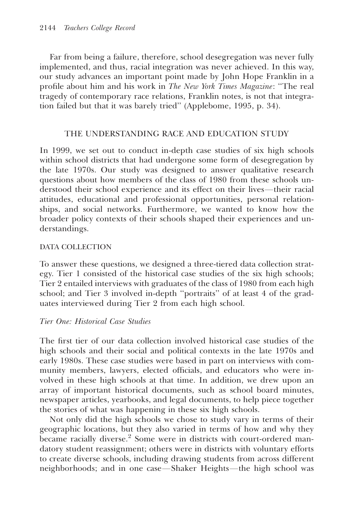Far from being a failure, therefore, school desegregation was never fully implemented, and thus, racial integration was never achieved. In this way, our study advances an important point made by John Hope Franklin in a profile about him and his work in The New York Times Magazine: ''The real tragedy of contemporary race relations, Franklin notes, is not that integration failed but that it was barely tried'' (Applebome, 1995, p. 34).

## THE UNDERSTANDING RACE AND EDUCATION STUDY

In 1999, we set out to conduct in-depth case studies of six high schools within school districts that had undergone some form of desegregation by the late 1970s. Our study was designed to answer qualitative research questions about how members of the class of 1980 from these schools understood their school experience and its effect on their lives—their racial attitudes, educational and professional opportunities, personal relationships, and social networks. Furthermore, we wanted to know how the broader policy contexts of their schools shaped their experiences and understandings.

#### DATA COLLECTION

To answer these questions, we designed a three-tiered data collection strategy. Tier 1 consisted of the historical case studies of the six high schools; Tier 2 entailed interviews with graduates of the class of 1980 from each high school; and Tier 3 involved in-depth ''portraits'' of at least 4 of the graduates interviewed during Tier 2 from each high school.

## Tier One: Historical Case Studies

The first tier of our data collection involved historical case studies of the high schools and their social and political contexts in the late 1970s and early 1980s. These case studies were based in part on interviews with community members, lawyers, elected officials, and educators who were involved in these high schools at that time. In addition, we drew upon an array of important historical documents, such as school board minutes, newspaper articles, yearbooks, and legal documents, to help piece together the stories of what was happening in these six high schools.

Not only did the high schools we chose to study vary in terms of their geographic locations, but they also varied in terms of how and why they became racially diverse.<sup>2</sup> Some were in districts with court-ordered mandatory student reassignment; others were in districts with voluntary efforts to create diverse schools, including drawing students from across different neighborhoods; and in one case—Shaker Heights—the high school was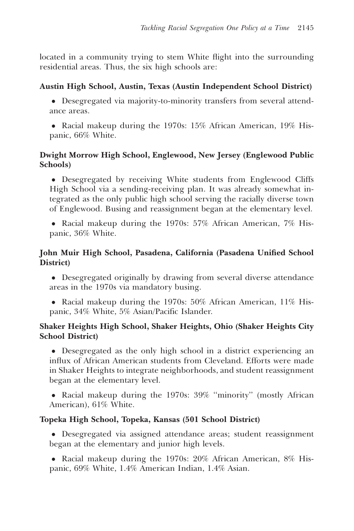located in a community trying to stem White flight into the surrounding residential areas. Thus, the six high schools are:

# Austin High School, Austin, Texas (Austin Independent School District)

- Desegregated via majority-to-minority transfers from several attendance areas.
- Racial makeup during the 1970s: 15% African American, 19% Hispanic, 66% White.

# Dwight Morrow High School, Englewood, New Jersey (Englewood Public Schools)

 Desegregated by receiving White students from Englewood Cliffs High School via a sending-receiving plan. It was already somewhat integrated as the only public high school serving the racially diverse town of Englewood. Busing and reassignment began at the elementary level.

• Racial makeup during the 1970s: 57% African American, 7% Hispanic, 36% White.

# John Muir High School, Pasadena, California (Pasadena Unified School District)

- Desegregated originally by drawing from several diverse attendance areas in the 1970s via mandatory busing.
- Racial makeup during the 1970s: 50% African American, 11% Hispanic, 34% White, 5% Asian/Pacific Islander.

# Shaker Heights High School, Shaker Heights, Ohio (Shaker Heights City School District)

 Desegregated as the only high school in a district experiencing an influx of African American students from Cleveland. Efforts were made in Shaker Heights to integrate neighborhoods, and student reassignment began at the elementary level.

• Racial makeup during the 1970s: 39% "minority" (mostly African American), 61% White.

# Topeka High School, Topeka, Kansas (501 School District)

 Desegregated via assigned attendance areas; student reassignment began at the elementary and junior high levels.

• Racial makeup during the 1970s: 20% African American, 8% Hispanic, 69% White, 1.4% American Indian, 1.4% Asian.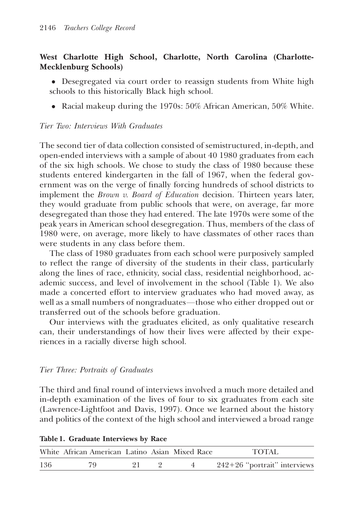## West Charlotte High School, Charlotte, North Carolina (Charlotte-Mecklenburg Schools)

- Desegregated via court order to reassign students from White high schools to this historically Black high school.
- Racial makeup during the 1970s: 50% African American, 50% White.

#### Tier Two: Interviews With Graduates

The second tier of data collection consisted of semistructured, in-depth, and open-ended interviews with a sample of about 40 1980 graduates from each of the six high schools. We chose to study the class of 1980 because these students entered kindergarten in the fall of 1967, when the federal government was on the verge of finally forcing hundreds of school districts to implement the *Brown v. Board of Education* decision. Thirteen years later, they would graduate from public schools that were, on average, far more desegregated than those they had entered. The late 1970s were some of the peak years in American school desegregation. Thus, members of the class of 1980 were, on average, more likely to have classmates of other races than were students in any class before them.

The class of 1980 graduates from each school were purposively sampled to reflect the range of diversity of the students in their class, particularly along the lines of race, ethnicity, social class, residential neighborhood, academic success, and level of involvement in the school (Table 1). We also made a concerted effort to interview graduates who had moved away, as well as a small numbers of nongraduates—those who either dropped out or transferred out of the schools before graduation.

Our interviews with the graduates elicited, as only qualitative research can, their understandings of how their lives were affected by their experiences in a racially diverse high school.

## Tier Three: Portraits of Graduates

The third and final round of interviews involved a much more detailed and in-depth examination of the lives of four to six graduates from each site (Lawrence-Lightfoot and Davis, 1997). Once we learned about the history and politics of the context of the high school and interviewed a broad range

|     | White African American Latino Asian Mixed Race |  | TOTAL                          |
|-----|------------------------------------------------|--|--------------------------------|
| 136 |                                                |  | $242+26$ "portrait" interviews |

#### Table 1. Graduate Interviews by Race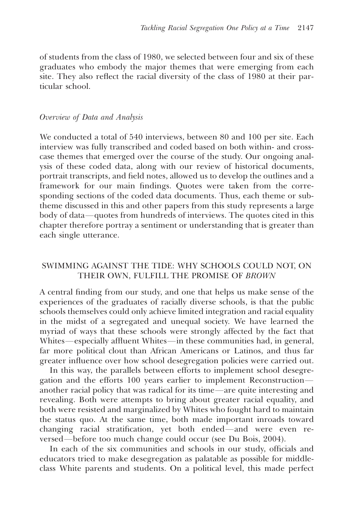of students from the class of 1980, we selected between four and six of these graduates who embody the major themes that were emerging from each site. They also reflect the racial diversity of the class of 1980 at their particular school.

#### Overview of Data and Analysis

We conducted a total of 540 interviews, between 80 and 100 per site. Each interview was fully transcribed and coded based on both within- and crosscase themes that emerged over the course of the study. Our ongoing analysis of these coded data, along with our review of historical documents, portrait transcripts, and field notes, allowed us to develop the outlines and a framework for our main findings. Quotes were taken from the corresponding sections of the coded data documents. Thus, each theme or subtheme discussed in this and other papers from this study represents a large body of data—quotes from hundreds of interviews. The quotes cited in this chapter therefore portray a sentiment or understanding that is greater than each single utterance.

## SWIMMING AGAINST THE TIDE: WHY SCHOOLS COULD NOT, ON THEIR OWN, FULFILL THE PROMISE OF BROWN

A central finding from our study, and one that helps us make sense of the experiences of the graduates of racially diverse schools, is that the public schools themselves could only achieve limited integration and racial equality in the midst of a segregated and unequal society. We have learned the myriad of ways that these schools were strongly affected by the fact that Whites—especially affluent Whites—in these communities had, in general, far more political clout than African Americans or Latinos, and thus far greater influence over how school desegregation policies were carried out.

In this way, the parallels between efforts to implement school desegregation and the efforts 100 years earlier to implement Reconstruction another racial policy that was radical for its time—are quite interesting and revealing. Both were attempts to bring about greater racial equality, and both were resisted and marginalized by Whites who fought hard to maintain the status quo. At the same time, both made important inroads toward changing racial stratification, yet both ended—and were even reversed—before too much change could occur (see Du Bois, 2004).

In each of the six communities and schools in our study, officials and educators tried to make desegregation as palatable as possible for middleclass White parents and students. On a political level, this made perfect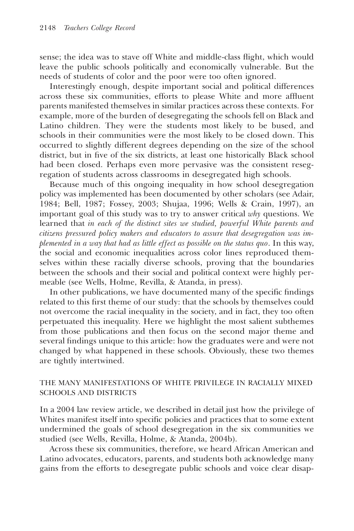sense; the idea was to stave off White and middle-class flight, which would leave the public schools politically and economically vulnerable. But the needs of students of color and the poor were too often ignored.

Interestingly enough, despite important social and political differences across these six communities, efforts to please White and more affluent parents manifested themselves in similar practices across these contexts. For example, more of the burden of desegregating the schools fell on Black and Latino children. They were the students most likely to be bused, and schools in their communities were the most likely to be closed down. This occurred to slightly different degrees depending on the size of the school district, but in five of the six districts, at least one historically Black school had been closed. Perhaps even more pervasive was the consistent resegregation of students across classrooms in desegregated high schools.

Because much of this ongoing inequality in how school desegregation policy was implemented has been documented by other scholars (see Adair, 1984; Bell, 1987; Fossey, 2003; Shujaa, 1996; Wells & Crain, 1997), an important goal of this study was to try to answer critical why questions. We learned that in each of the distinct sites we studied, powerful White parents and citizens pressured policy makers and educators to assure that desegregation was implemented in a way that had as little effect as possible on the status quo. In this way, the social and economic inequalities across color lines reproduced themselves within these racially diverse schools, proving that the boundaries between the schools and their social and political context were highly permeable (see Wells, Holme, Revilla, & Atanda, in press).

In other publications, we have documented many of the specific findings related to this first theme of our study: that the schools by themselves could not overcome the racial inequality in the society, and in fact, they too often perpetuated this inequality. Here we highlight the most salient subthemes from those publications and then focus on the second major theme and several findings unique to this article: how the graduates were and were not changed by what happened in these schools. Obviously, these two themes are tightly intertwined.

#### THE MANY MANIFESTATIONS OF WHITE PRIVILEGE IN RACIALLY MIXED SCHOOLS AND DISTRICTS

In a 2004 law review article, we described in detail just how the privilege of Whites manifest itself into specific policies and practices that to some extent undermined the goals of school desegregation in the six communities we studied (see Wells, Revilla, Holme, & Atanda, 2004b).

Across these six communities, therefore, we heard African American and Latino advocates, educators, parents, and students both acknowledge many gains from the efforts to desegregate public schools and voice clear disap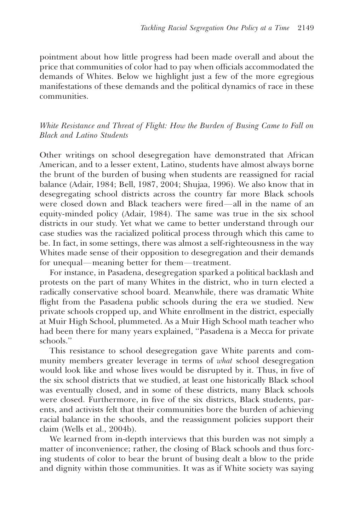pointment about how little progress had been made overall and about the price that communities of color had to pay when officials accommodated the demands of Whites. Below we highlight just a few of the more egregious manifestations of these demands and the political dynamics of race in these communities.

White Resistance and Threat of Flight: How the Burden of Busing Came to Fall on Black and Latino Students

Other writings on school desegregation have demonstrated that African American, and to a lesser extent, Latino, students have almost always borne the brunt of the burden of busing when students are reassigned for racial balance (Adair, 1984; Bell, 1987, 2004; Shujaa, 1996). We also know that in desegregating school districts across the country far more Black schools were closed down and Black teachers were fired—all in the name of an equity-minded policy (Adair, 1984). The same was true in the six school districts in our study. Yet what we came to better understand through our case studies was the racialized political process through which this came to be. In fact, in some settings, there was almost a self-righteousness in the way Whites made sense of their opposition to desegregation and their demands for unequal—meaning better for them—treatment.

For instance, in Pasadena, desegregation sparked a political backlash and protests on the part of many Whites in the district, who in turn elected a radically conservative school board. Meanwhile, there was dramatic White flight from the Pasadena public schools during the era we studied. New private schools cropped up, and White enrollment in the district, especially at Muir High School, plummeted. As a Muir High School math teacher who had been there for many years explained, ''Pasadena is a Mecca for private schools.''

This resistance to school desegregation gave White parents and community members greater leverage in terms of what school desegregation would look like and whose lives would be disrupted by it. Thus, in five of the six school districts that we studied, at least one historically Black school was eventually closed, and in some of these districts, many Black schools were closed. Furthermore, in five of the six districts, Black students, parents, and activists felt that their communities bore the burden of achieving racial balance in the schools, and the reassignment policies support their claim (Wells et al., 2004b).

We learned from in-depth interviews that this burden was not simply a matter of inconvenience; rather, the closing of Black schools and thus forcing students of color to bear the brunt of busing dealt a blow to the pride and dignity within those communities. It was as if White society was saying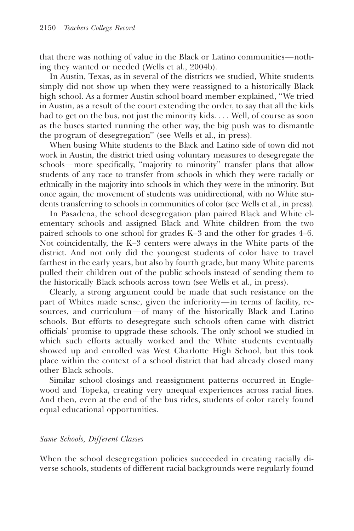that there was nothing of value in the Black or Latino communities—nothing they wanted or needed (Wells et al., 2004b).

In Austin, Texas, as in several of the districts we studied, White students simply did not show up when they were reassigned to a historically Black high school. As a former Austin school board member explained, ''We tried in Austin, as a result of the court extending the order, to say that all the kids had to get on the bus, not just the minority kids. . . . Well, of course as soon as the buses started running the other way, the big push was to dismantle the program of desegregation'' (see Wells et al., in press).

When busing White students to the Black and Latino side of town did not work in Austin, the district tried using voluntary measures to desegregate the schools—more specifically, "majority to minority" transfer plans that allow students of any race to transfer from schools in which they were racially or ethnically in the majority into schools in which they were in the minority. But once again, the movement of students was unidirectional, with no White students transferring to schools in communities of color (see Wells et al., in press).

In Pasadena, the school desegregation plan paired Black and White elementary schools and assigned Black and White children from the two paired schools to one school for grades K–3 and the other for grades 4–6. Not coincidentally, the K–3 centers were always in the White parts of the district. And not only did the youngest students of color have to travel farthest in the early years, but also by fourth grade, but many White parents pulled their children out of the public schools instead of sending them to the historically Black schools across town (see Wells et al., in press).

Clearly, a strong argument could be made that such resistance on the part of Whites made sense, given the inferiority—in terms of facility, resources, and curriculum-of many of the historically Black and Latino schools. But efforts to desegregate such schools often came with district officials' promise to upgrade these schools. The only school we studied in which such efforts actually worked and the White students eventually showed up and enrolled was West Charlotte High School, but this took place within the context of a school district that had already closed many other Black schools.

Similar school closings and reassignment patterns occurred in Englewood and Topeka, creating very unequal experiences across racial lines. And then, even at the end of the bus rides, students of color rarely found equal educational opportunities.

#### Same Schools, Different Classes

When the school desegregation policies succeeded in creating racially diverse schools, students of different racial backgrounds were regularly found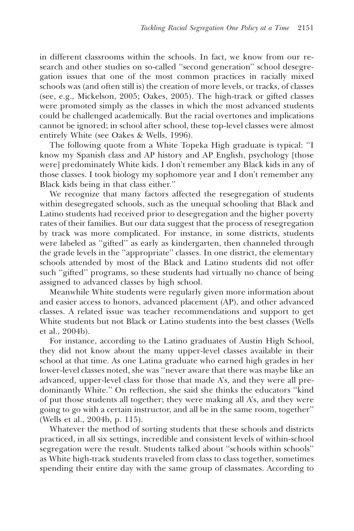in different classrooms within the schools. In fact, we know from our research and other studies on so-called ''second generation'' school desegregation issues that one of the most common practices in racially mixed schools was (and often still is) the creation of more levels, or tracks, of classes (see, e.g., Mickelson, 2005; Oakes, 2005). The high-track or gifted classes were promoted simply as the classes in which the most advanced students could be challenged academically. But the racial overtones and implications cannot be ignored; in school after school, these top-level classes were almost entirely White (see Oakes & Wells, 1996).

The following quote from a White Topeka High graduate is typical: ''I know my Spanish class and AP history and AP English, psychology [those were] predominately White kids. I don't remember any Black kids in any of those classes. I took biology my sophomore year and I don't remember any Black kids being in that class either.''

We recognize that many factors affected the resegregation of students within desegregated schools, such as the unequal schooling that Black and Latino students had received prior to desegregation and the higher poverty rates of their families. But our data suggest that the process of resegregation by track was more complicated. For instance, in some districts, students were labeled as ''gifted'' as early as kindergarten, then channeled through the grade levels in the ''appropriate'' classes. In one district, the elementary schools attended by most of the Black and Latino students did not offer such ''gifted'' programs, so these students had virtually no chance of being assigned to advanced classes by high school.

Meanwhile White students were regularly given more information about and easier access to honors, advanced placement (AP), and other advanced classes. A related issue was teacher recommendations and support to get White students but not Black or Latino students into the best classes (Wells et al., 2004b).

For instance, according to the Latino graduates of Austin High School, they did not know about the many upper-level classes available in their school at that time. As one Latina graduate who earned high grades in her lower-level classes noted, she was ''never aware that there was maybe like an advanced, upper-level class for those that made A's, and they were all predominantly White.'' On reflection, she said she thinks the educators ''kind of put those students all together; they were making all A's, and they were going to go with a certain instructor, and all be in the same room, together'' (Wells et al., 2004b, p. 115).

Whatever the method of sorting students that these schools and districts practiced, in all six settings, incredible and consistent levels of within-school segregation were the result. Students talked about ''schools within schools'' as White high-track students traveled from class to class together, sometimes spending their entire day with the same group of classmates. According to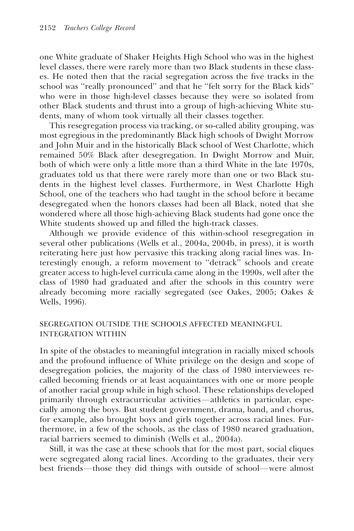one White graduate of Shaker Heights High School who was in the highest level classes, there were rarely more than two Black students in these classes. He noted then that the racial segregation across the five tracks in the school was ''really pronounced'' and that he ''felt sorry for the Black kids'' who were in those high-level classes because they were so isolated from other Black students and thrust into a group of high-achieving White students, many of whom took virtually all their classes together.

This resegregation process via tracking, or so-called ability grouping, was most egregious in the predominantly Black high schools of Dwight Morrow and John Muir and in the historically Black school of West Charlotte, which remained 50% Black after desegregation. In Dwight Morrow and Muir, both of which were only a little more than a third White in the late 1970s, graduates told us that there were rarely more than one or two Black students in the highest level classes. Furthermore, in West Charlotte High School, one of the teachers who had taught in the school before it became desegregated when the honors classes had been all Black, noted that she wondered where all those high-achieving Black students had gone once the White students showed up and filled the high-track classes.

Although we provide evidence of this within-school resegregation in several other publications (Wells et al., 2004a, 2004b, in press), it is worth reiterating here just how pervasive this tracking along racial lines was. Interestingly enough, a reform movement to ''detrack'' schools and create greater access to high-level curricula came along in the 1990s, well after the class of 1980 had graduated and after the schools in this country were already becoming more racially segregated (see Oakes, 2005; Oakes & Wells, 1996).

#### SEGREGATION OUTSIDE THE SCHOOLS AFFECTED MEANINGFUL INTEGRATION WITHIN

In spite of the obstacles to meaningful integration in racially mixed schools and the profound influence of White privilege on the design and scope of desegregation policies, the majority of the class of 1980 interviewees recalled becoming friends or at least acquaintances with one or more people of another racial group while in high school. These relationships developed primarily through extracurricular activities—athletics in particular, especially among the boys. But student government, drama, band, and chorus, for example, also brought boys and girls together across racial lines. Furthermore, in a few of the schools, as the class of 1980 neared graduation, racial barriers seemed to diminish (Wells et al., 2004a).

Still, it was the case at these schools that for the most part, social cliques were segregated along racial lines. According to the graduates, their very best friends—those they did things with outside of school—were almost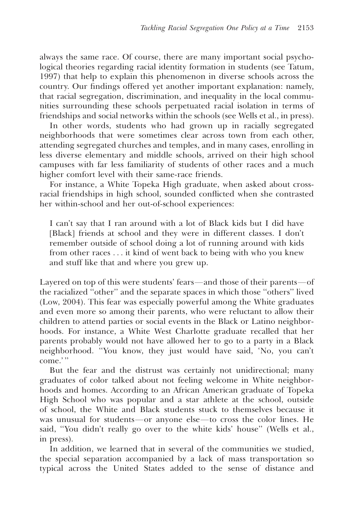always the same race. Of course, there are many important social psychological theories regarding racial identity formation in students (see Tatum, 1997) that help to explain this phenomenon in diverse schools across the country. Our findings offered yet another important explanation: namely, that racial segregation, discrimination, and inequality in the local communities surrounding these schools perpetuated racial isolation in terms of friendships and social networks within the schools (see Wells et al., in press).

In other words, students who had grown up in racially segregated neighborhoods that were sometimes clear across town from each other, attending segregated churches and temples, and in many cases, enrolling in less diverse elementary and middle schools, arrived on their high school campuses with far less familiarity of students of other races and a much higher comfort level with their same-race friends.

For instance, a White Topeka High graduate, when asked about crossracial friendships in high school, sounded conflicted when she contrasted her within-school and her out-of-school experiences:

I can't say that I ran around with a lot of Black kids but I did have [Black] friends at school and they were in different classes. I don't remember outside of school doing a lot of running around with kids from other races . . . it kind of went back to being with who you knew and stuff like that and where you grew up.

Layered on top of this were students' fears—and those of their parents—of the racialized ''other'' and the separate spaces in which those ''others'' lived (Low, 2004). This fear was especially powerful among the White graduates and even more so among their parents, who were reluctant to allow their children to attend parties or social events in the Black or Latino neighborhoods. For instance, a White West Charlotte graduate recalled that her parents probably would not have allowed her to go to a party in a Black neighborhood. ''You know, they just would have said, 'No, you can't come.' ''

But the fear and the distrust was certainly not unidirectional; many graduates of color talked about not feeling welcome in White neighborhoods and homes. According to an African American graduate of Topeka High School who was popular and a star athlete at the school, outside of school, the White and Black students stuck to themselves because it was unusual for students-or anyone else-to cross the color lines. He said, ''You didn't really go over to the white kids' house'' (Wells et al., in press).

In addition, we learned that in several of the communities we studied, the special separation accompanied by a lack of mass transportation so typical across the United States added to the sense of distance and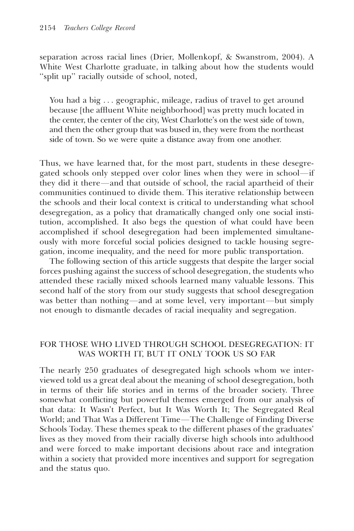separation across racial lines (Drier, Mollenkopf, & Swanstrom, 2004). A White West Charlotte graduate, in talking about how the students would ''split up'' racially outside of school, noted,

You had a big . . . geographic, mileage, radius of travel to get around because [the affluent White neighborhood] was pretty much located in the center, the center of the city, West Charlotte's on the west side of town, and then the other group that was bused in, they were from the northeast side of town. So we were quite a distance away from one another.

Thus, we have learned that, for the most part, students in these desegregated schools only stepped over color lines when they were in school—if they did it there—and that outside of school, the racial apartheid of their communities continued to divide them. This iterative relationship between the schools and their local context is critical to understanding what school desegregation, as a policy that dramatically changed only one social institution, accomplished. It also begs the question of what could have been accomplished if school desegregation had been implemented simultaneously with more forceful social policies designed to tackle housing segregation, income inequality, and the need for more public transportation.

The following section of this article suggests that despite the larger social forces pushing against the success of school desegregation, the students who attended these racially mixed schools learned many valuable lessons. This second half of the story from our study suggests that school desegregation was better than nothing—and at some level, very important—but simply not enough to dismantle decades of racial inequality and segregation.

#### FOR THOSE WHO LIVED THROUGH SCHOOL DESEGREGATION: IT WAS WORTH IT, BUT IT ONLY TOOK US SO FAR

The nearly 250 graduates of desegregated high schools whom we interviewed told us a great deal about the meaning of school desegregation, both in terms of their life stories and in terms of the broader society. Three somewhat conflicting but powerful themes emerged from our analysis of that data: It Wasn't Perfect, but It Was Worth It; The Segregated Real World; and That Was a Different Time-The Challenge of Finding Diverse Schools Today. These themes speak to the different phases of the graduates' lives as they moved from their racially diverse high schools into adulthood and were forced to make important decisions about race and integration within a society that provided more incentives and support for segregation and the status quo.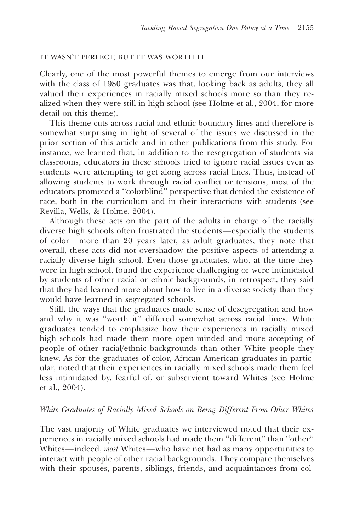#### IT WASN'T PERFECT, BUT IT WAS WORTH IT

Clearly, one of the most powerful themes to emerge from our interviews with the class of 1980 graduates was that, looking back as adults, they all valued their experiences in racially mixed schools more so than they realized when they were still in high school (see Holme et al., 2004, for more detail on this theme).

This theme cuts across racial and ethnic boundary lines and therefore is somewhat surprising in light of several of the issues we discussed in the prior section of this article and in other publications from this study. For instance, we learned that, in addition to the resegregation of students via classrooms, educators in these schools tried to ignore racial issues even as students were attempting to get along across racial lines. Thus, instead of allowing students to work through racial conflict or tensions, most of the educators promoted a ''colorblind'' perspective that denied the existence of race, both in the curriculum and in their interactions with students (see Revilla, Wells, & Holme, 2004).

Although these acts on the part of the adults in charge of the racially diverse high schools often frustrated the students—especially the students of color-more than 20 years later, as adult graduates, they note that overall, these acts did not overshadow the positive aspects of attending a racially diverse high school. Even those graduates, who, at the time they were in high school, found the experience challenging or were intimidated by students of other racial or ethnic backgrounds, in retrospect, they said that they had learned more about how to live in a diverse society than they would have learned in segregated schools.

Still, the ways that the graduates made sense of desegregation and how and why it was ''worth it'' differed somewhat across racial lines. White graduates tended to emphasize how their experiences in racially mixed high schools had made them more open-minded and more accepting of people of other racial/ethnic backgrounds than other White people they knew. As for the graduates of color, African American graduates in particular, noted that their experiences in racially mixed schools made them feel less intimidated by, fearful of, or subservient toward Whites (see Holme et al., 2004).

#### White Graduates of Racially Mixed Schools on Being Different From Other Whites

The vast majority of White graduates we interviewed noted that their experiences in racially mixed schools had made them ''different'' than ''other'' Whites—indeed, *most* Whites—who have not had as many opportunities to interact with people of other racial backgrounds. They compare themselves with their spouses, parents, siblings, friends, and acquaintances from col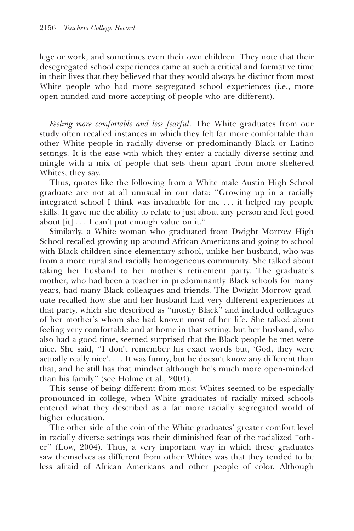lege or work, and sometimes even their own children. They note that their desegregated school experiences came at such a critical and formative time in their lives that they believed that they would always be distinct from most White people who had more segregated school experiences (i.e., more open-minded and more accepting of people who are different).

Feeling more comfortable and less fearful. The White graduates from our study often recalled instances in which they felt far more comfortable than other White people in racially diverse or predominantly Black or Latino settings. It is the ease with which they enter a racially diverse setting and mingle with a mix of people that sets them apart from more sheltered Whites, they say.

Thus, quotes like the following from a White male Austin High School graduate are not at all unusual in our data: ''Growing up in a racially integrated school I think was invaluable for me . . . it helped my people skills. It gave me the ability to relate to just about any person and feel good about [it] . . . I can't put enough value on it.''

Similarly, a White woman who graduated from Dwight Morrow High School recalled growing up around African Americans and going to school with Black children since elementary school, unlike her husband, who was from a more rural and racially homogeneous community. She talked about taking her husband to her mother's retirement party. The graduate's mother, who had been a teacher in predominantly Black schools for many years, had many Black colleagues and friends. The Dwight Morrow graduate recalled how she and her husband had very different experiences at that party, which she described as ''mostly Black'' and included colleagues of her mother's whom she had known most of her life. She talked about feeling very comfortable and at home in that setting, but her husband, who also had a good time, seemed surprised that the Black people he met were nice. She said, ''I don't remember his exact words but, 'God, they were actually really nice'. . . . It was funny, but he doesn't know any different than that, and he still has that mindset although he's much more open-minded than his family'' (see Holme et al., 2004).

This sense of being different from most Whites seemed to be especially pronounced in college, when White graduates of racially mixed schools entered what they described as a far more racially segregated world of higher education.

The other side of the coin of the White graduates' greater comfort level in racially diverse settings was their diminished fear of the racialized ''other'' (Low, 2004). Thus, a very important way in which these graduates saw themselves as different from other Whites was that they tended to be less afraid of African Americans and other people of color. Although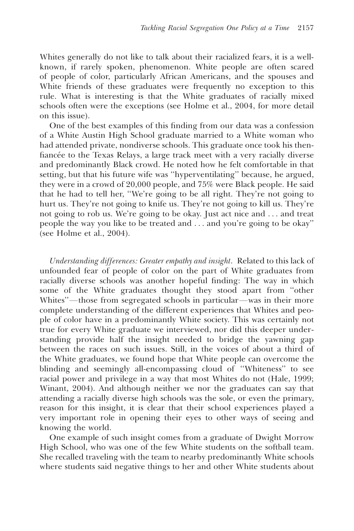Whites generally do not like to talk about their racialized fears, it is a wellknown, if rarely spoken, phenomenon. White people are often scared of people of color, particularly African Americans, and the spouses and White friends of these graduates were frequently no exception to this rule. What is interesting is that the White graduates of racially mixed schools often were the exceptions (see Holme et al., 2004, for more detail on this issue).

One of the best examples of this finding from our data was a confession of a White Austin High School graduate married to a White woman who had attended private, nondiverse schools. This graduate once took his thenfiancée to the Texas Relays, a large track meet with a very racially diverse and predominantly Black crowd. He noted how he felt comfortable in that setting, but that his future wife was ''hyperventilating'' because, he argued, they were in a crowd of 20,000 people, and 75% were Black people. He said that he had to tell her, ''We're going to be all right. They're not going to hurt us. They're not going to knife us. They're not going to kill us. They're not going to rob us. We're going to be okay. Just act nice and . . . and treat people the way you like to be treated and . . . and you're going to be okay'' (see Holme et al., 2004).

Understanding differences: Greater empathy and insight. Related to this lack of unfounded fear of people of color on the part of White graduates from racially diverse schools was another hopeful finding: The way in which some of the White graduates thought they stood apart from ''other Whites''—those from segregated schools in particular—was in their more complete understanding of the different experiences that Whites and people of color have in a predominantly White society. This was certainly not true for every White graduate we interviewed, nor did this deeper understanding provide half the insight needed to bridge the yawning gap between the races on such issues. Still, in the voices of about a third of the White graduates, we found hope that White people can overcome the blinding and seemingly all-encompassing cloud of ''Whiteness'' to see racial power and privilege in a way that most Whites do not (Hale, 1999; Winant, 2004). And although neither we nor the graduates can say that attending a racially diverse high schools was the sole, or even the primary, reason for this insight, it is clear that their school experiences played a very important role in opening their eyes to other ways of seeing and knowing the world.

One example of such insight comes from a graduate of Dwight Morrow High School, who was one of the few White students on the softball team. She recalled traveling with the team to nearby predominantly White schools where students said negative things to her and other White students about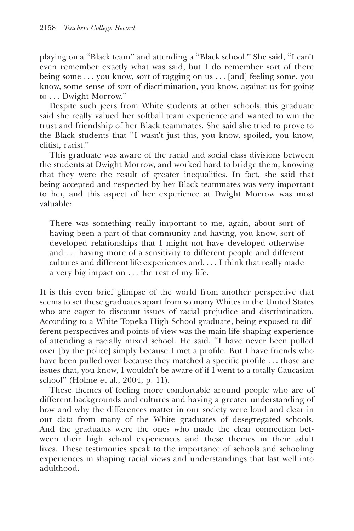playing on a ''Black team'' and attending a ''Black school.'' She said, ''I can't even remember exactly what was said, but I do remember sort of there being some . . . you know, sort of ragging on us . . . [and] feeling some, you know, some sense of sort of discrimination, you know, against us for going to . . . Dwight Morrow.''

Despite such jeers from White students at other schools, this graduate said she really valued her softball team experience and wanted to win the trust and friendship of her Black teammates. She said she tried to prove to the Black students that ''I wasn't just this, you know, spoiled, you know, elitist, racist.''

This graduate was aware of the racial and social class divisions between the students at Dwight Morrow, and worked hard to bridge them, knowing that they were the result of greater inequalities. In fact, she said that being accepted and respected by her Black teammates was very important to her, and this aspect of her experience at Dwight Morrow was most valuable:

There was something really important to me, again, about sort of having been a part of that community and having, you know, sort of developed relationships that I might not have developed otherwise and . . . having more of a sensitivity to different people and different cultures and different life experiences and. . . . I think that really made a very big impact on . . . the rest of my life.

It is this even brief glimpse of the world from another perspective that seems to set these graduates apart from so many Whites in the United States who are eager to discount issues of racial prejudice and discrimination. According to a White Topeka High School graduate, being exposed to different perspectives and points of view was the main life-shaping experience of attending a racially mixed school. He said, ''I have never been pulled over [by the police] simply because I met a profile. But I have friends who have been pulled over because they matched a specific profile . . . those are issues that, you know, I wouldn't be aware of if I went to a totally Caucasian school'' (Holme et al., 2004, p. 11).

These themes of feeling more comfortable around people who are of different backgrounds and cultures and having a greater understanding of how and why the differences matter in our society were loud and clear in our data from many of the White graduates of desegregated schools. And the graduates were the ones who made the clear connection between their high school experiences and these themes in their adult lives. These testimonies speak to the importance of schools and schooling experiences in shaping racial views and understandings that last well into adulthood.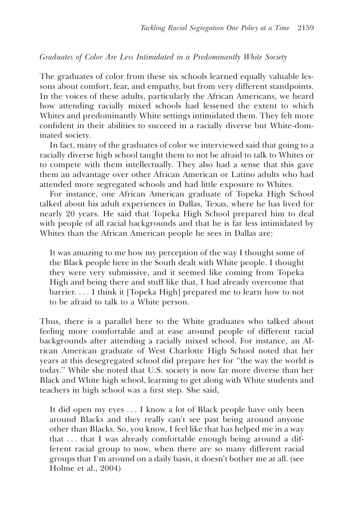#### Graduates of Color Are Less Intimidated in a Predominantly White Society

The graduates of color from these six schools learned equally valuable lessons about comfort, fear, and empathy, but from very different standpoints. In the voices of these adults, particularly the African Americans, we heard how attending racially mixed schools had lessened the extent to which Whites and predominantly White settings intimidated them. They felt more confident in their abilities to succeed in a racially diverse but White-dominated society.

In fact, many of the graduates of color we interviewed said that going to a racially diverse high school taught them to not be afraid to talk to Whites or to compete with them intellectually. They also had a sense that this gave them an advantage over other African American or Latino adults who had attended more segregated schools and had little exposure to Whites.

For instance, one African American graduate of Topeka High School talked about his adult experiences in Dallas, Texas, where he has lived for nearly 20 years. He said that Topeka High School prepared him to deal with people of all racial backgrounds and that he is far less intimidated by Whites than the African American people he sees in Dallas are:

It was amazing to me how my perception of the way I thought some of the Black people here in the South dealt with White people. I thought they were very submissive, and it seemed like coming from Topeka High and being there and stuff like that, I had already overcome that barrier. . . . I think it [Topeka High] prepared me to learn how to not to be afraid to talk to a White person.

Thus, there is a parallel here to the White graduates who talked about feeling more comfortable and at ease around people of different racial backgrounds after attending a racially mixed school. For instance, an African American graduate of West Charlotte High School noted that her years at this desegregated school did prepare her for ''the way the world is today.'' While she noted that U.S. society is now far more diverse than her Black and White high school, learning to get along with White students and teachers in high school was a first step. She said,

It did open my eyes . . . I know a lot of Black people have only been around Blacks and they really can't see past being around anyone other than Blacks. So, you know, I feel like that has helped me in a way that . . . that I was already comfortable enough being around a different racial group to now, when there are so many different racial groups that I'm around on a daily basis, it doesn't bother me at all. (see Holme et al., 2004)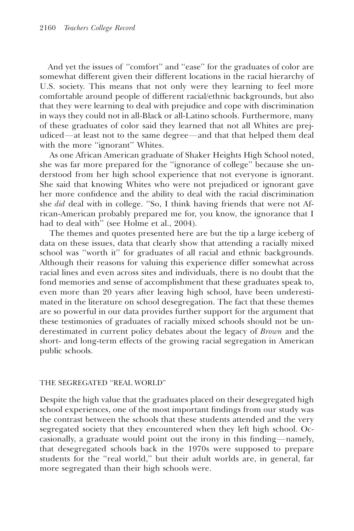And yet the issues of ''comfort'' and ''ease'' for the graduates of color are somewhat different given their different locations in the racial hierarchy of U.S. society. This means that not only were they learning to feel more comfortable around people of different racial/ethnic backgrounds, but also that they were learning to deal with prejudice and cope with discrimination in ways they could not in all-Black or all-Latino schools. Furthermore, many of these graduates of color said they learned that not all Whites are prejudiced—at least not to the same degree—and that that helped them deal with the more "ignorant" Whites.

As one African American graduate of Shaker Heights High School noted, she was far more prepared for the ''ignorance of college'' because she understood from her high school experience that not everyone is ignorant. She said that knowing Whites who were not prejudiced or ignorant gave her more confidence and the ability to deal with the racial discrimination she did deal with in college. ''So, I think having friends that were not African-American probably prepared me for, you know, the ignorance that I had to deal with'' (see Holme et al., 2004).

The themes and quotes presented here are but the tip a large iceberg of data on these issues, data that clearly show that attending a racially mixed school was ''worth it'' for graduates of all racial and ethnic backgrounds. Although their reasons for valuing this experience differ somewhat across racial lines and even across sites and individuals, there is no doubt that the fond memories and sense of accomplishment that these graduates speak to, even more than 20 years after leaving high school, have been underestimated in the literature on school desegregation. The fact that these themes are so powerful in our data provides further support for the argument that these testimonies of graduates of racially mixed schools should not be underestimated in current policy debates about the legacy of Brown and the short- and long-term effects of the growing racial segregation in American public schools.

#### THE SEGREGATED ''REAL WORLD''

Despite the high value that the graduates placed on their desegregated high school experiences, one of the most important findings from our study was the contrast between the schools that these students attended and the very segregated society that they encountered when they left high school. Occasionally, a graduate would point out the irony in this finding—namely, that desegregated schools back in the 1970s were supposed to prepare students for the ''real world,'' but their adult worlds are, in general, far more segregated than their high schools were.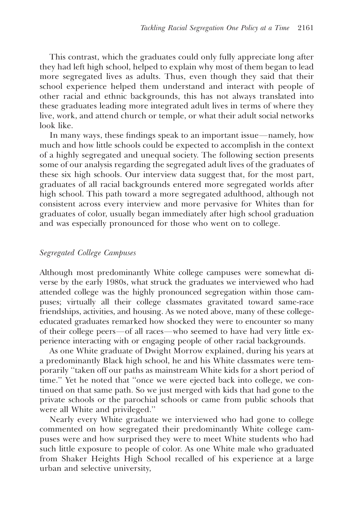This contrast, which the graduates could only fully appreciate long after they had left high school, helped to explain why most of them began to lead more segregated lives as adults. Thus, even though they said that their school experience helped them understand and interact with people of other racial and ethnic backgrounds, this has not always translated into these graduates leading more integrated adult lives in terms of where they live, work, and attend church or temple, or what their adult social networks look like.

In many ways, these findings speak to an important issue—namely, how much and how little schools could be expected to accomplish in the context of a highly segregated and unequal society. The following section presents some of our analysis regarding the segregated adult lives of the graduates of these six high schools. Our interview data suggest that, for the most part, graduates of all racial backgrounds entered more segregated worlds after high school. This path toward a more segregated adulthood, although not consistent across every interview and more pervasive for Whites than for graduates of color, usually began immediately after high school graduation and was especially pronounced for those who went on to college.

#### Segregated College Campuses

Although most predominantly White college campuses were somewhat diverse by the early 1980s, what struck the graduates we interviewed who had attended college was the highly pronounced segregation within those campuses; virtually all their college classmates gravitated toward same-race friendships, activities, and housing. As we noted above, many of these collegeeducated graduates remarked how shocked they were to encounter so many of their college peers-of all races-who seemed to have had very little experience interacting with or engaging people of other racial backgrounds.

As one White graduate of Dwight Morrow explained, during his years at a predominantly Black high school, he and his White classmates were temporarily ''taken off our paths as mainstream White kids for a short period of time.'' Yet he noted that ''once we were ejected back into college, we continued on that same path. So we just merged with kids that had gone to the private schools or the parochial schools or came from public schools that were all White and privileged.''

Nearly every White graduate we interviewed who had gone to college commented on how segregated their predominantly White college campuses were and how surprised they were to meet White students who had such little exposure to people of color. As one White male who graduated from Shaker Heights High School recalled of his experience at a large urban and selective university,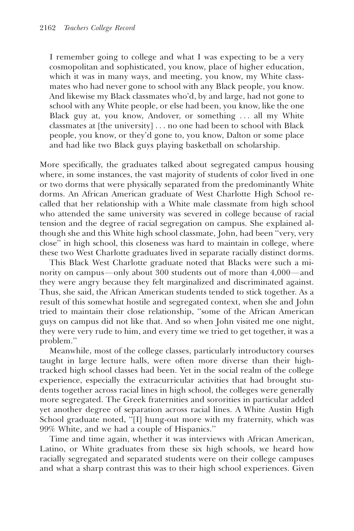I remember going to college and what I was expecting to be a very cosmopolitan and sophisticated, you know, place of higher education, which it was in many ways, and meeting, you know, my White classmates who had never gone to school with any Black people, you know. And likewise my Black classmates who'd, by and large, had not gone to school with any White people, or else had been, you know, like the one Black guy at, you know, Andover, or something . . . all my White classmates at [the university] . . . no one had been to school with Black people, you know, or they'd gone to, you know, Dalton or some place and had like two Black guys playing basketball on scholarship.

More specifically, the graduates talked about segregated campus housing where, in some instances, the vast majority of students of color lived in one or two dorms that were physically separated from the predominantly White dorms. An African American graduate of West Charlotte High School recalled that her relationship with a White male classmate from high school who attended the same university was severed in college because of racial tension and the degree of racial segregation on campus. She explained although she and this White high school classmate, John, had been ''very, very close'' in high school, this closeness was hard to maintain in college, where these two West Charlotte graduates lived in separate racially distinct dorms.

This Black West Charlotte graduate noted that Blacks were such a minority on campus—only about  $300$  students out of more than  $4,000$ —and they were angry because they felt marginalized and discriminated against. Thus, she said, the African American students tended to stick together. As a result of this somewhat hostile and segregated context, when she and John tried to maintain their close relationship, ''some of the African American guys on campus did not like that. And so when John visited me one night, they were very rude to him, and every time we tried to get together, it was a problem.''

Meanwhile, most of the college classes, particularly introductory courses taught in large lecture halls, were often more diverse than their hightracked high school classes had been. Yet in the social realm of the college experience, especially the extracurricular activities that had brought students together across racial lines in high school, the colleges were generally more segregated. The Greek fraternities and sororities in particular added yet another degree of separation across racial lines. A White Austin High School graduate noted, "[I] hung-out more with my fraternity, which was 99% White, and we had a couple of Hispanics.''

Time and time again, whether it was interviews with African American, Latino, or White graduates from these six high schools, we heard how racially segregated and separated students were on their college campuses and what a sharp contrast this was to their high school experiences. Given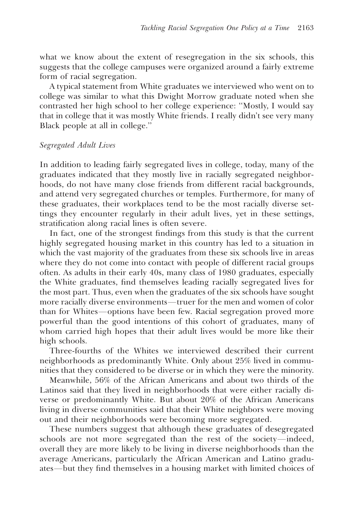what we know about the extent of resegregation in the six schools, this suggests that the college campuses were organized around a fairly extreme form of racial segregation.

A typical statement from White graduates we interviewed who went on to college was similar to what this Dwight Morrow graduate noted when she contrasted her high school to her college experience: ''Mostly, I would say that in college that it was mostly White friends. I really didn't see very many Black people at all in college.''

#### Segregated Adult Lives

In addition to leading fairly segregated lives in college, today, many of the graduates indicated that they mostly live in racially segregated neighborhoods, do not have many close friends from different racial backgrounds, and attend very segregated churches or temples. Furthermore, for many of these graduates, their workplaces tend to be the most racially diverse settings they encounter regularly in their adult lives, yet in these settings, stratification along racial lines is often severe.

In fact, one of the strongest findings from this study is that the current highly segregated housing market in this country has led to a situation in which the vast majority of the graduates from these six schools live in areas where they do not come into contact with people of different racial groups often. As adults in their early 40s, many class of 1980 graduates, especially the White graduates, find themselves leading racially segregated lives for the most part. Thus, even when the graduates of the six schools have sought more racially diverse environments—truer for the men and women of color than for Whites—options have been few. Racial segregation proved more powerful than the good intentions of this cohort of graduates, many of whom carried high hopes that their adult lives would be more like their high schools.

Three-fourths of the Whites we interviewed described their current neighborhoods as predominantly White. Only about 25% lived in communities that they considered to be diverse or in which they were the minority.

Meanwhile, 56% of the African Americans and about two thirds of the Latinos said that they lived in neighborhoods that were either racially diverse or predominantly White. But about 20% of the African Americans living in diverse communities said that their White neighbors were moving out and their neighborhoods were becoming more segregated.

These numbers suggest that although these graduates of desegregated schools are not more segregated than the rest of the society-indeed, overall they are more likely to be living in diverse neighborhoods than the average Americans, particularly the African American and Latino graduates—but they find themselves in a housing market with limited choices of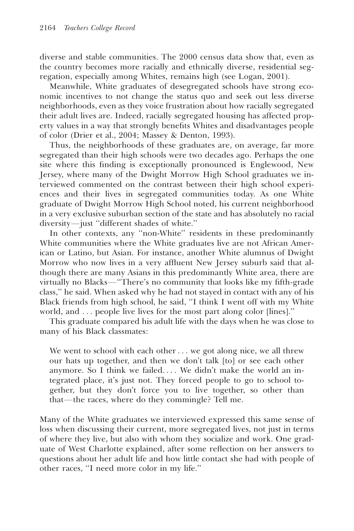diverse and stable communities. The 2000 census data show that, even as the country becomes more racially and ethnically diverse, residential segregation, especially among Whites, remains high (see Logan, 2001).

Meanwhile, White graduates of desegregated schools have strong economic incentives to not change the status quo and seek out less diverse neighborhoods, even as they voice frustration about how racially segregated their adult lives are. Indeed, racially segregated housing has affected property values in a way that strongly benefits Whites and disadvantages people of color (Drier et al., 2004; Massey & Denton, 1993).

Thus, the neighborhoods of these graduates are, on average, far more segregated than their high schools were two decades ago. Perhaps the one site where this finding is exceptionally pronounced is Englewood, New Jersey, where many of the Dwight Morrow High School graduates we interviewed commented on the contrast between their high school experiences and their lives in segregated communities today. As one White graduate of Dwight Morrow High School noted, his current neighborhood in a very exclusive suburban section of the state and has absolutely no racial diversity-just "different shades of white."

In other contexts, any ''non-White'' residents in these predominantly White communities where the White graduates live are not African American or Latino, but Asian. For instance, another White alumnus of Dwight Morrow who now lives in a very affluent New Jersey suburb said that although there are many Asians in this predominantly White area, there are virtually no Blacks-"There's no community that looks like my fifth-grade class,'' he said. When asked why he had not stayed in contact with any of his Black friends from high school, he said, ''I think I went off with my White world, and . . . people live lives for the most part along color [lines].''

This graduate compared his adult life with the days when he was close to many of his Black classmates:

We went to school with each other . . . we got along nice, we all threw our hats up together, and then we don't talk [to] or see each other anymore. So I think we failed. . . . We didn't make the world an integrated place, it's just not. They forced people to go to school together, but they don't force you to live together, so other than that—the races, where do they commingle? Tell me.

Many of the White graduates we interviewed expressed this same sense of loss when discussing their current, more segregated lives, not just in terms of where they live, but also with whom they socialize and work. One graduate of West Charlotte explained, after some reflection on her answers to questions about her adult life and how little contact she had with people of other races, ''I need more color in my life.''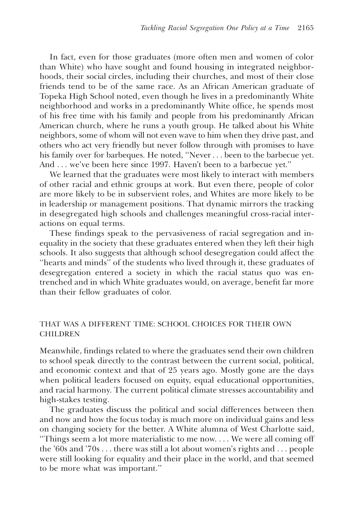In fact, even for those graduates (more often men and women of color than White) who have sought and found housing in integrated neighborhoods, their social circles, including their churches, and most of their close friends tend to be of the same race. As an African American graduate of Topeka High School noted, even though he lives in a predominantly White neighborhood and works in a predominantly White office, he spends most of his free time with his family and people from his predominantly African American church, where he runs a youth group. He talked about his White neighbors, some of whom will not even wave to him when they drive past, and others who act very friendly but never follow through with promises to have his family over for barbeques. He noted, "Never . . . been to the barbecue yet. And ... we've been here since 1997. Haven't been to a barbecue yet."

We learned that the graduates were most likely to interact with members of other racial and ethnic groups at work. But even there, people of color are more likely to be in subservient roles, and Whites are more likely to be in leadership or management positions. That dynamic mirrors the tracking in desegregated high schools and challenges meaningful cross-racial interactions on equal terms.

These findings speak to the pervasiveness of racial segregation and inequality in the society that these graduates entered when they left their high schools. It also suggests that although school desegregation could affect the ''hearts and minds'' of the students who lived through it, these graduates of desegregation entered a society in which the racial status quo was entrenched and in which White graduates would, on average, benefit far more than their fellow graduates of color.

#### THAT WAS A DIFFERENT TIME: SCHOOL CHOICES FOR THEIR OWN CHILDREN

Meanwhile, findings related to where the graduates send their own children to school speak directly to the contrast between the current social, political, and economic context and that of 25 years ago. Mostly gone are the days when political leaders focused on equity, equal educational opportunities, and racial harmony. The current political climate stresses accountability and high-stakes testing.

The graduates discuss the political and social differences between then and now and how the focus today is much more on individual gains and less on changing society for the better. A White alumna of West Charlotte said, ''Things seem a lot more materialistic to me now. . . . We were all coming off the '60s and '70s . . . there was still a lot about women's rights and . . . people were still looking for equality and their place in the world, and that seemed to be more what was important.''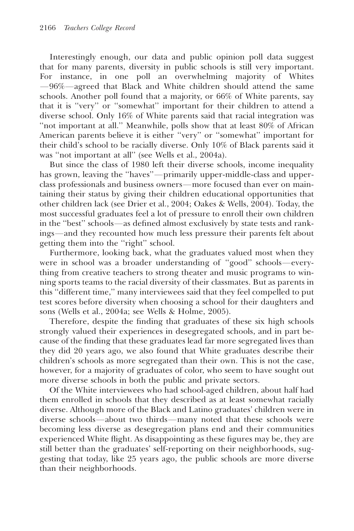Interestingly enough, our data and public opinion poll data suggest that for many parents, diversity in public schools is still very important. For instance, in one poll an overwhelming majority of Whites  $-96\%$ —agreed that Black and White children should attend the same schools. Another poll found that a majority, or 66% of White parents, say that it is ''very'' or ''somewhat'' important for their children to attend a diverse school. Only 16% of White parents said that racial integration was "not important at all." Meanwhile, polls show that at least 80% of African American parents believe it is either ''very'' or ''somewhat'' important for their child's school to be racially diverse. Only 10% of Black parents said it was ''not important at all'' (see Wells et al., 2004a).

But since the class of 1980 left their diverse schools, income inequality has grown, leaving the "haves"—primarily upper-middle-class and upperclass professionals and business owners—more focused than ever on maintaining their status by giving their children educational opportunities that other children lack (see Drier et al., 2004; Oakes & Wells, 2004). Today, the most successful graduates feel a lot of pressure to enroll their own children in the "best" schools—as defined almost exclusively by state tests and rankings—and they recounted how much less pressure their parents felt about getting them into the ''right'' school.

Furthermore, looking back, what the graduates valued most when they were in school was a broader understanding of "good" schools-everything from creative teachers to strong theater and music programs to winning sports teams to the racial diversity of their classmates. But as parents in this ''different time,'' many interviewees said that they feel compelled to put test scores before diversity when choosing a school for their daughters and sons (Wells et al., 2004a; see Wells & Holme, 2005).

Therefore, despite the finding that graduates of these six high schools strongly valued their experiences in desegregated schools, and in part because of the finding that these graduates lead far more segregated lives than they did 20 years ago, we also found that White graduates describe their children's schools as more segregated than their own. This is not the case, however, for a majority of graduates of color, who seem to have sought out more diverse schools in both the public and private sectors.

Of the White interviewees who had school-aged children, about half had them enrolled in schools that they described as at least somewhat racially diverse. Although more of the Black and Latino graduates' children were in diverse schools—about two thirds—many noted that these schools were becoming less diverse as desegregation plans end and their communities experienced White flight. As disappointing as these figures may be, they are still better than the graduates' self-reporting on their neighborhoods, suggesting that today, like 25 years ago, the public schools are more diverse than their neighborhoods.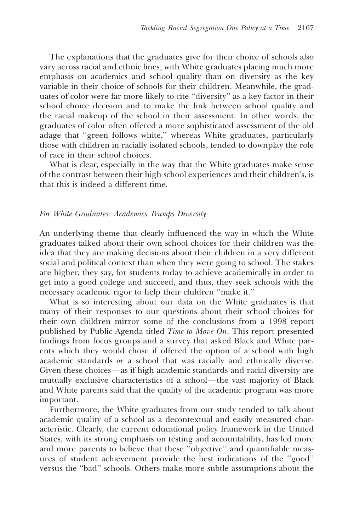The explanations that the graduates give for their choice of schools also vary across racial and ethnic lines, with White graduates placing much more emphasis on academics and school quality than on diversity as the key variable in their choice of schools for their children. Meanwhile, the graduates of color were far more likely to cite ''diversity'' as a key factor in their school choice decision and to make the link between school quality and the racial makeup of the school in their assessment. In other words, the graduates of color often offered a more sophisticated assessment of the old adage that ''green follows white,'' whereas White graduates, particularly those with children in racially isolated schools, tended to downplay the role of race in their school choices.

What is clear, especially in the way that the White graduates make sense of the contrast between their high school experiences and their children's, is that this is indeed a different time.

#### For White Graduates: Academics Trumps Diversity

An underlying theme that clearly influenced the way in which the White graduates talked about their own school choices for their children was the idea that they are making decisions about their children in a very different social and political context than when they were going to school. The stakes are higher, they say, for students today to achieve academically in order to get into a good college and succeed, and thus, they seek schools with the necessary academic rigor to help their children ''make it.''

What is so interesting about our data on the White graduates is that many of their responses to our questions about their school choices for their own children mirror some of the conclusions from a 1998 report published by Public Agenda titled Time to Move On. This report presented findings from focus groups and a survey that asked Black and White parents which they would chose if offered the option of a school with high academic standards or a school that was racially and ethnically diverse. Given these choices—as if high academic standards and racial diversity are mutually exclusive characteristics of a school—the vast majority of Black and White parents said that the quality of the academic program was more important.

Furthermore, the White graduates from our study tended to talk about academic quality of a school as a decontextual and easily measured characteristic. Clearly, the current educational policy framework in the United States, with its strong emphasis on testing and accountability, has led more and more parents to believe that these ''objective'' and quantifiable measures of student achievement provide the best indications of the ''good'' versus the ''bad'' schools. Others make more subtle assumptions about the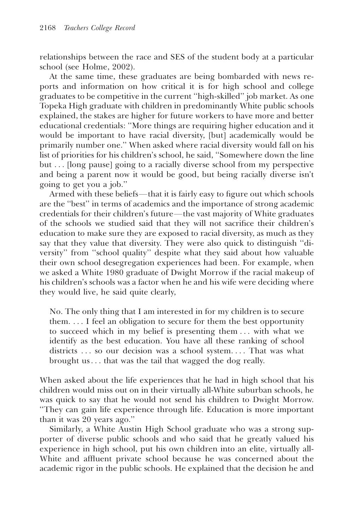relationships between the race and SES of the student body at a particular school (see Holme, 2002).

At the same time, these graduates are being bombarded with news reports and information on how critical it is for high school and college graduates to be competitive in the current ''high-skilled'' job market. As one Topeka High graduate with children in predominantly White public schools explained, the stakes are higher for future workers to have more and better educational credentials: ''More things are requiring higher education and it would be important to have racial diversity, [but] academically would be primarily number one.'' When asked where racial diversity would fall on his list of priorities for his children's school, he said, ''Somewhere down the line but ... [long pause] going to a racially diverse school from my perspective and being a parent now it would be good, but being racially diverse isn't going to get you a job.''

Armed with these beliefs—that it is fairly easy to figure out which schools are the ''best'' in terms of academics and the importance of strong academic credentials for their children's future—the vast majority of White graduates of the schools we studied said that they will not sacrifice their children's education to make sure they are exposed to racial diversity, as much as they say that they value that diversity. They were also quick to distinguish ''diversity'' from ''school quality'' despite what they said about how valuable their own school desegregation experiences had been. For example, when we asked a White 1980 graduate of Dwight Morrow if the racial makeup of his children's schools was a factor when he and his wife were deciding where they would live, he said quite clearly,

No. The only thing that I am interested in for my children is to secure them. . . . I feel an obligation to secure for them the best opportunity to succeed which in my belief is presenting them . . . with what we identify as the best education. You have all these ranking of school districts ... so our decision was a school system.... That was what brought us . . . that was the tail that wagged the dog really.

When asked about the life experiences that he had in high school that his children would miss out on in their virtually all-White suburban schools, he was quick to say that he would not send his children to Dwight Morrow. ''They can gain life experience through life. Education is more important than it was 20 years ago.''

Similarly, a White Austin High School graduate who was a strong supporter of diverse public schools and who said that he greatly valued his experience in high school, put his own children into an elite, virtually all-White and affluent private school because he was concerned about the academic rigor in the public schools. He explained that the decision he and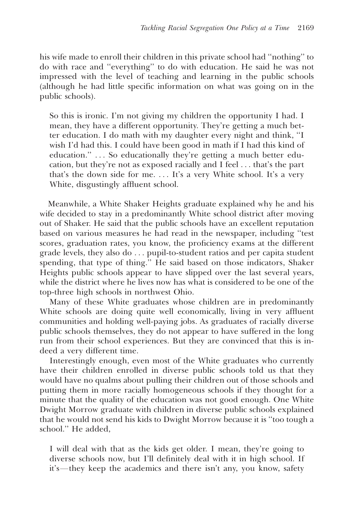his wife made to enroll their children in this private school had ''nothing'' to do with race and ''everything'' to do with education. He said he was not impressed with the level of teaching and learning in the public schools (although he had little specific information on what was going on in the public schools).

So this is ironic. I'm not giving my children the opportunity I had. I mean, they have a different opportunity. They're getting a much better education. I do math with my daughter every night and think, ''I wish I'd had this. I could have been good in math if I had this kind of education." . . . So educationally they're getting a much better education, but they're not as exposed racially and I feel . . . that's the part that's the down side for me. . . . It's a very White school. It's a very White, disgustingly affluent school.

Meanwhile, a White Shaker Heights graduate explained why he and his wife decided to stay in a predominantly White school district after moving out of Shaker. He said that the public schools have an excellent reputation based on various measures he had read in the newspaper, including ''test scores, graduation rates, you know, the proficiency exams at the different grade levels, they also do . . . pupil-to-student ratios and per capita student spending, that type of thing.'' He said based on those indicators, Shaker Heights public schools appear to have slipped over the last several years, while the district where he lives now has what is considered to be one of the top-three high schools in northwest Ohio.

Many of these White graduates whose children are in predominantly White schools are doing quite well economically, living in very affluent communities and holding well-paying jobs. As graduates of racially diverse public schools themselves, they do not appear to have suffered in the long run from their school experiences. But they are convinced that this is indeed a very different time.

Interestingly enough, even most of the White graduates who currently have their children enrolled in diverse public schools told us that they would have no qualms about pulling their children out of those schools and putting them in more racially homogeneous schools if they thought for a minute that the quality of the education was not good enough. One White Dwight Morrow graduate with children in diverse public schools explained that he would not send his kids to Dwight Morrow because it is ''too tough a school.'' He added,

I will deal with that as the kids get older. I mean, they're going to diverse schools now, but I'll definitely deal with it in high school. If it's—they keep the academics and there isn't any, you know, safety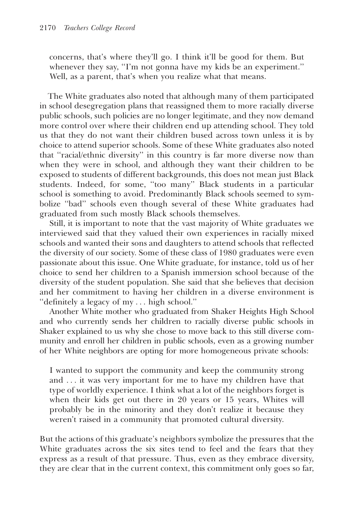concerns, that's where they'll go. I think it'll be good for them. But whenever they say, "I'm not gonna have my kids be an experiment." Well, as a parent, that's when you realize what that means.

The White graduates also noted that although many of them participated in school desegregation plans that reassigned them to more racially diverse public schools, such policies are no longer legitimate, and they now demand more control over where their children end up attending school. They told us that they do not want their children bused across town unless it is by choice to attend superior schools. Some of these White graduates also noted that ''racial/ethnic diversity'' in this country is far more diverse now than when they were in school, and although they want their children to be exposed to students of different backgrounds, this does not mean just Black students. Indeed, for some, ''too many'' Black students in a particular school is something to avoid. Predominantly Black schools seemed to symbolize ''bad'' schools even though several of these White graduates had graduated from such mostly Black schools themselves.

Still, it is important to note that the vast majority of White graduates we interviewed said that they valued their own experiences in racially mixed schools and wanted their sons and daughters to attend schools that reflected the diversity of our society. Some of these class of 1980 graduates were even passionate about this issue. One White graduate, for instance, told us of her choice to send her children to a Spanish immersion school because of the diversity of the student population. She said that she believes that decision and her commitment to having her children in a diverse environment is ''definitely a legacy of my . . . high school.''

Another White mother who graduated from Shaker Heights High School and who currently sends her children to racially diverse public schools in Shaker explained to us why she chose to move back to this still diverse community and enroll her children in public schools, even as a growing number of her White neighbors are opting for more homogeneous private schools:

I wanted to support the community and keep the community strong and . . . it was very important for me to have my children have that type of worldly experience. I think what a lot of the neighbors forget is when their kids get out there in 20 years or 15 years, Whites will probably be in the minority and they don't realize it because they weren't raised in a community that promoted cultural diversity.

But the actions of this graduate's neighbors symbolize the pressures that the White graduates across the six sites tend to feel and the fears that they express as a result of that pressure. Thus, even as they embrace diversity, they are clear that in the current context, this commitment only goes so far,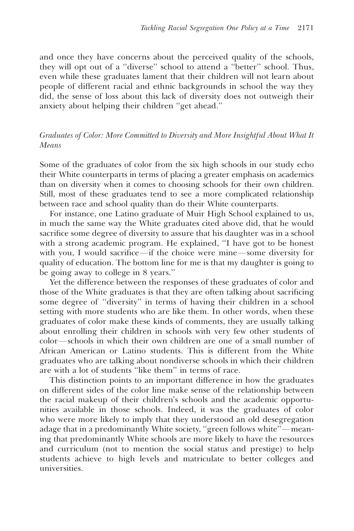and once they have concerns about the perceived quality of the schools, they will opt out of a ''diverse'' school to attend a ''better'' school. Thus, even while these graduates lament that their children will not learn about people of different racial and ethnic backgrounds in school the way they did, the sense of loss about this lack of diversity does not outweigh their anxiety about helping their children ''get ahead.''

## Graduates of Color: More Committed to Diversity and More Insightful About What It Means

Some of the graduates of color from the six high schools in our study echo their White counterparts in terms of placing a greater emphasis on academics than on diversity when it comes to choosing schools for their own children. Still, most of these graduates tend to see a more complicated relationship between race and school quality than do their White counterparts.

For instance, one Latino graduate of Muir High School explained to us, in much the same way the White graduates cited above did, that he would sacrifice some degree of diversity to assure that his daughter was in a school with a strong academic program. He explained, ''I have got to be honest with you, I would sacrifice—if the choice were mine—some diversity for quality of education. The bottom line for me is that my daughter is going to be going away to college in 8 years.''

Yet the difference between the responses of these graduates of color and those of the White graduates is that they are often talking about sacrificing some degree of ''diversity'' in terms of having their children in a school setting with more students who are like them. In other words, when these graduates of color make these kinds of comments, they are usually talking about enrolling their children in schools with very few other students of color—schools in which their own children are one of a small number of African American or Latino students. This is different from the White graduates who are talking about nondiverse schools in which their children are with a lot of students ''like them'' in terms of race.

This distinction points to an important difference in how the graduates on different sides of the color line make sense of the relationship between the racial makeup of their children's schools and the academic opportunities available in those schools. Indeed, it was the graduates of color who were more likely to imply that they understood an old desegregation adage that in a predominantly White society, "green follows white"—meaning that predominantly White schools are more likely to have the resources and curriculum (not to mention the social status and prestige) to help students achieve to high levels and matriculate to better colleges and universities.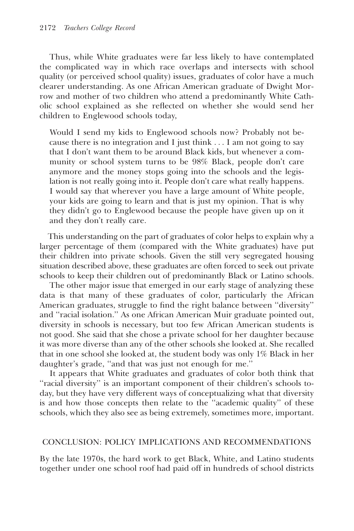Thus, while White graduates were far less likely to have contemplated the complicated way in which race overlaps and intersects with school quality (or perceived school quality) issues, graduates of color have a much clearer understanding. As one African American graduate of Dwight Morrow and mother of two children who attend a predominantly White Catholic school explained as she reflected on whether she would send her children to Englewood schools today,

Would I send my kids to Englewood schools now? Probably not because there is no integration and I just think . . . I am not going to say that I don't want them to be around Black kids, but whenever a community or school system turns to be 98% Black, people don't care anymore and the money stops going into the schools and the legislation is not really going into it. People don't care what really happens. I would say that wherever you have a large amount of White people, your kids are going to learn and that is just my opinion. That is why they didn't go to Englewood because the people have given up on it and they don't really care.

This understanding on the part of graduates of color helps to explain why a larger percentage of them (compared with the White graduates) have put their children into private schools. Given the still very segregated housing situation described above, these graduates are often forced to seek out private schools to keep their children out of predominantly Black or Latino schools.

The other major issue that emerged in our early stage of analyzing these data is that many of these graduates of color, particularly the African American graduates, struggle to find the right balance between ''diversity'' and ''racial isolation.'' As one African American Muir graduate pointed out, diversity in schools is necessary, but too few African American students is not good. She said that she chose a private school for her daughter because it was more diverse than any of the other schools she looked at. She recalled that in one school she looked at, the student body was only 1% Black in her daughter's grade, ''and that was just not enough for me.''

It appears that White graduates and graduates of color both think that ''racial diversity'' is an important component of their children's schools today, but they have very different ways of conceptualizing what that diversity is and how those concepts then relate to the ''academic quality'' of these schools, which they also see as being extremely, sometimes more, important.

#### CONCLUSION: POLICY IMPLICATIONS AND RECOMMENDATIONS

By the late 1970s, the hard work to get Black, White, and Latino students together under one school roof had paid off in hundreds of school districts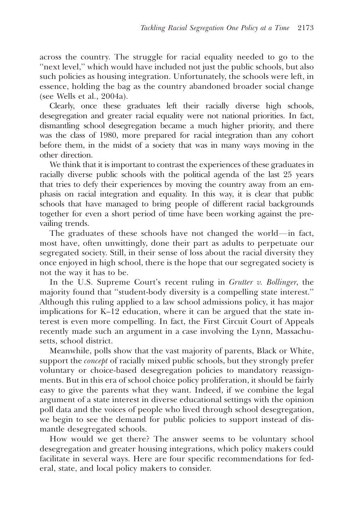across the country. The struggle for racial equality needed to go to the "next level," which would have included not just the public schools, but also such policies as housing integration. Unfortunately, the schools were left, in essence, holding the bag as the country abandoned broader social change (see Wells et al., 2004a).

Clearly, once these graduates left their racially diverse high schools, desegregation and greater racial equality were not national priorities. In fact, dismantling school desegregation became a much higher priority, and there was the class of 1980, more prepared for racial integration than any cohort before them, in the midst of a society that was in many ways moving in the other direction.

We think that it is important to contrast the experiences of these graduates in racially diverse public schools with the political agenda of the last 25 years that tries to defy their experiences by moving the country away from an emphasis on racial integration and equality. In this way, it is clear that public schools that have managed to bring people of different racial backgrounds together for even a short period of time have been working against the prevailing trends.

The graduates of these schools have not changed the world—in fact, most have, often unwittingly, done their part as adults to perpetuate our segregated society. Still, in their sense of loss about the racial diversity they once enjoyed in high school, there is the hope that our segregated society is not the way it has to be.

In the U.S. Supreme Court's recent ruling in *Grutter v. Bollinger*, the majority found that ''student-body diversity is a compelling state interest.'' Although this ruling applied to a law school admissions policy, it has major implications for K–12 education, where it can be argued that the state interest is even more compelling. In fact, the First Circuit Court of Appeals recently made such an argument in a case involving the Lynn, Massachusetts, school district.

Meanwhile, polls show that the vast majority of parents, Black or White, support the *concept* of racially mixed public schools, but they strongly prefer voluntary or choice-based desegregation policies to mandatory reassignments. But in this era of school choice policy proliferation, it should be fairly easy to give the parents what they want. Indeed, if we combine the legal argument of a state interest in diverse educational settings with the opinion poll data and the voices of people who lived through school desegregation, we begin to see the demand for public policies to support instead of dismantle desegregated schools.

How would we get there? The answer seems to be voluntary school desegregation and greater housing integrations, which policy makers could facilitate in several ways. Here are four specific recommendations for federal, state, and local policy makers to consider.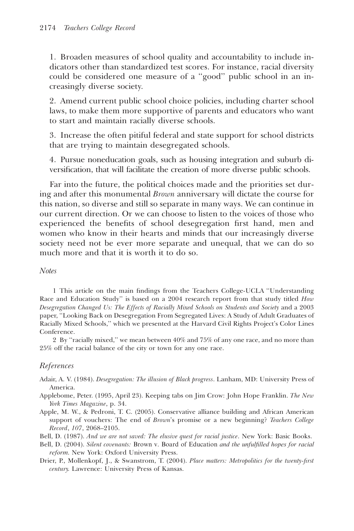1. Broaden measures of school quality and accountability to include indicators other than standardized test scores. For instance, racial diversity could be considered one measure of a ''good'' public school in an increasingly diverse society.

2. Amend current public school choice policies, including charter school laws, to make them more supportive of parents and educators who want to start and maintain racially diverse schools.

3. Increase the often pitiful federal and state support for school districts that are trying to maintain desegregated schools.

4. Pursue noneducation goals, such as housing integration and suburb diversification, that will facilitate the creation of more diverse public schools.

Far into the future, the political choices made and the priorities set during and after this monumental Brown anniversary will dictate the course for this nation, so diverse and still so separate in many ways. We can continue in our current direction. Or we can choose to listen to the voices of those who experienced the benefits of school desegregation first hand, men and women who know in their hearts and minds that our increasingly diverse society need not be ever more separate and unequal, that we can do so much more and that it is worth it to do so.

#### **Notes**

1 This article on the main findings from the Teachers College-UCLA ''Understanding Race and Education Study" is based on a 2004 research report from that study titled How Desegregation Changed Us: The Effects of Racially Mixed Schools on Students and Society and a 2003 paper, ''Looking Back on Desegregation From Segregated Lives: A Study of Adult Graduates of Racially Mixed Schools,'' which we presented at the Harvard Civil Rights Project's Color Lines Conference.

2 By ''racially mixed,'' we mean between 40% and 75% of any one race, and no more than 25% off the racial balance of the city or town for any one race.

## References

- Adair, A. V. (1984). Desegregation: The illusion of Black progress. Lanham, MD: University Press of America.
- Applebome, Peter. (1995, April 23). Keeping tabs on Jim Crow: John Hope Franklin. The New York Times Magazine, p. 34.
- Apple, M. W., & Pedroni, T. C. (2005). Conservative alliance building and African American support of vouchers: The end of Brown's promise or a new beginning? Teachers College Record, 107, 2068–2105.
- Bell, D. (1987). And we are not saved: The elusive quest for racial justice. New York: Basic Books.
- Bell, D. (2004). Silent covenants: Brown v. Board of Education and the unfulfilled hopes for racial reform. New York: Oxford University Press.
- Drier, P., Mollenkopf, J., & Swanstrom, T. (2004). Place matters: Metropolitics for the twenty-first century. Lawrence: University Press of Kansas.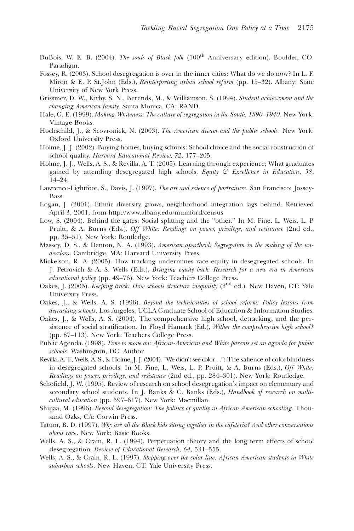- DuBois, W. E. B. (2004). The souls of Black folk (100<sup>th</sup> Anniversary edition). Boulder, CO: Paradigm.
- Fossey, R. (2003). School desegregation is over in the inner cities: What do we do now? In L. F. Miron & E. P. St.John (Eds.), *Reinterpreting urban school reform* (pp. 15–32). Albany: State University of New York Press.
- Grissmer, D. W., Kirby, S. N., Berends, M., & Williamson, S. (1994). Student achievement and the changing American family. Santa Monica, CA: RAND.
- Hale, G. E. (1999). Making Whiteness: The culture of segregation in the South, 1890–1940. New York: Vintage Books.
- Hochschild, J., & Scovronick, N. (2003). The American dream and the public schools. New York: Oxford University Press.
- Holme, J. J. (2002). Buying homes, buying schools: School choice and the social construction of school quality. Harvard Educational Review, 72, 177-205.
- Holme, J. J., Wells, A. S., & Revilla, A. T. (2005). Learning through experience: What graduates gained by attending desegregated high schools. Equity  $\mathcal G$  Excellence in Education, 38, 14–24.
- Lawrence-Lightfoot, S., Davis, J. (1997). The art and science of portraiture. San Francisco: Jossey-Bass.
- Logan, J. (2001). Ethnic diversity grows, neighborhood integration lags behind. Retrieved April 3, 2001, from http://www.albany.edu/mumford/census
- Low, S. (2004). Behind the gates: Social splitting and the "other." In M. Fine, L. Weis, L. P. Pruitt, & A. Burns (Eds.), Off White: Readings on power, privilege, and resistance (2nd ed., pp. 35–51). New York: Routledge.
- Massey, D. S., & Denton, N. A. (1993). American apartheid: Segregation in the making of the underclass. Cambridge, MA: Harvard University Press.
- Mickelson, R. A. (2005). How tracking undermines race equity in desegregated schools. In J. Petrovich & A. S. Wells (Eds.), Bringing equity back: Research for a new era in American educational policy (pp. 49–76). New York: Teachers College Press.
- Oakes, J. (2005). *Keeping track: How schools structure inequality* ( $2<sup>nd</sup>$  ed.). New Haven, CT: Yale University Press.
- Oakes, J., & Wells, A. S. (1996). Beyond the technicalities of school reform: Policy lessons from detracking schools. Los Angeles: UCLA Graduate School of Education & Information Studies.
- Oakes, J., & Wells, A. S. (2004). The comprehensive high school, detracking, and the persistence of social stratification. In Floyd Hamack (Ed.), Wither the comprehensive high school? (pp. 87–113). New York: Teachers College Press.
- Public Agenda. (1998). Time to move on: African-American and White parents set an agenda for public schools. Washington, DC: Author.
- Revilla, A. T., Wells, A. S., & Holme, J. J. (2004). ''We didn't see color. . .'': The salience of colorblindness in desegregated schools. In M. Fine, L. Weis, L. P. Pruitt, & A. Burns (Eds.), Off White: Readings on power, privilege, and resistance (2nd ed., pp. 284–301). New York: Routledge.
- Schofield, J. W. (1995). Review of research on school desegregation's impact on elementary and secondary school students. In J. Banks & C. Banks (Eds.), Handbook of research on multicultural education (pp. 597–617). New York: Macmillan.
- Shujaa, M. (1996). Beyond desegregation: The politics of quality in African American schooling. Thousand Oaks, CA: Corwin Press.
- Tatum, B. D. (1997). Why are all the Black kids sitting together in the cafeteria? And other conversations about race. New York: Basic Books.
- Wells, A. S., & Crain, R. L. (1994). Perpetuation theory and the long term effects of school desegregation. Review of Educational Research, 64, 531–555.
- Wells, A. S., & Crain, R. L. (1997). Stepping over the color line: African American students in White suburban schools. New Haven, CT: Yale University Press.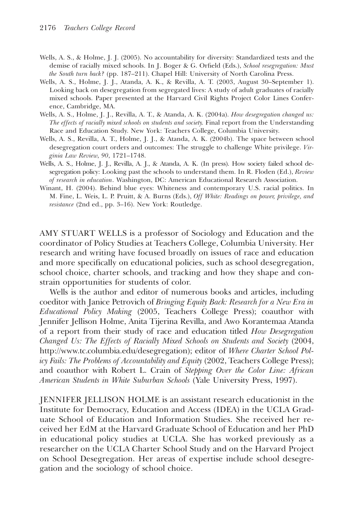- Wells, A. S., & Holme, J. J. (2005). No accountability for diversity: Standardized tests and the demise of racially mixed schools. In J. Boger & G. Orfield (Eds.), School resegregation: Must the South turn back? (pp. 187–211). Chapel Hill: University of North Carolina Press.
- Wells, A. S., Holme, J. J., Atanda, A. K., & Revilla, A. T. (2003, August 30–September 1). Looking back on desegregation from segregated lives: A study of adult graduates of racially mixed schools. Paper presented at the Harvard Civil Rights Project Color Lines Conference, Cambridge, MA.
- Wells, A. S., Holme, J. J., Revilla, A. T., & Atanda, A. K. (2004a). How desegregation changed us: The effects of racially mixed schools on students and society. Final report from the Understanding Race and Education Study. New York: Teachers College, Columbia University.
- Wells, A. S., Revilla, A. T., Holme, J. J., & Atanda, A. K. (2004b). The space between school desegregation court orders and outcomes: The struggle to challenge White privilege. Virginia Law Review, 90, 1721–1748.
- Wells, A. S., Holme, J. J., Revilla, A. J., & Atanda, A. K. (In press). How society failed school desegregation policy: Looking past the schools to understand them. In R. Floden (Ed.), Review of research in education. Washington, DC: American Educational Research Association.
- Winant, H. (2004). Behind blue eyes: Whiteness and contemporary U.S. racial politics. In M. Fine, L. Weis, L. P. Pruitt, & A. Burns (Eds.), Off White: Readings on power, privilege, and resistance (2nd ed., pp. 3–16). New York: Routledge.

AMY STUART WELLS is a professor of Sociology and Education and the coordinator of Policy Studies at Teachers College, Columbia University. Her research and writing have focused broadly on issues of race and education and more specifically on educational policies, such as school desegregation, school choice, charter schools, and tracking and how they shape and constrain opportunities for students of color.

Wells is the author and editor of numerous books and articles, including coeditor with Janice Petrovich of Bringing Equity Back: Research for a New Era in Educational Policy Making (2005, Teachers College Press); coauthor with Jennifer Jellison Holme, Anita Tijerina Revilla, and Awo Korantemaa Atanda of a report from their study of race and education titled How Desegregation Changed Us: The Effects of Racially Mixed Schools on Students and Society (2004, http://www.tc.columbia.edu/desegregation); editor of Where Charter School Policy Fails: The Problems of Accountability and Equity (2002, Teachers College Press); and coauthor with Robert L. Crain of Stepping Over the Color Line: African American Students in White Suburban Schools (Yale University Press, 1997).

JENNIFER JELLISON HOLME is an assistant research educationist in the Institute for Democracy, Education and Access (IDEA) in the UCLA Graduate School of Education and Information Studies. She received her received her EdM at the Harvard Graduate School of Education and her PhD in educational policy studies at UCLA. She has worked previously as a researcher on the UCLA Charter School Study and on the Harvard Project on School Desegregation. Her areas of expertise include school desegregation and the sociology of school choice.